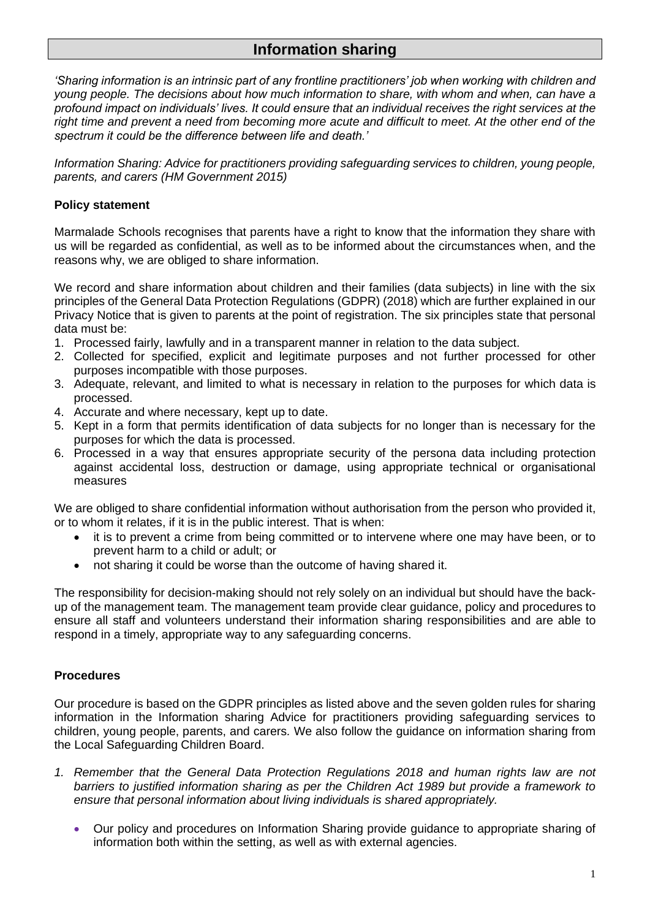# **Information sharing**

*'Sharing information is an intrinsic part of any frontline practitioners' job when working with children and young people. The decisions about how much information to share, with whom and when, can have a profound impact on individuals' lives. It could ensure that an individual receives the right services at the right time and prevent a need from becoming more acute and difficult to meet. At the other end of the spectrum it could be the difference between life and death.'*

*Information Sharing: Advice for practitioners providing safeguarding services to children, young people, parents, and carers (HM Government 2015)*

## **Policy statement**

Marmalade Schools recognises that parents have a right to know that the information they share with us will be regarded as confidential, as well as to be informed about the circumstances when, and the reasons why, we are obliged to share information.

We record and share information about children and their families (data subjects) in line with the six principles of the General Data Protection Regulations (GDPR) (2018) which are further explained in our Privacy Notice that is given to parents at the point of registration. The six principles state that personal data must be:

- 1. Processed fairly, lawfully and in a transparent manner in relation to the data subject.
- 2. Collected for specified, explicit and legitimate purposes and not further processed for other purposes incompatible with those purposes.
- 3. Adequate, relevant, and limited to what is necessary in relation to the purposes for which data is processed.
- 4. Accurate and where necessary, kept up to date.
- 5. Kept in a form that permits identification of data subjects for no longer than is necessary for the purposes for which the data is processed.
- 6. Processed in a way that ensures appropriate security of the persona data including protection against accidental loss, destruction or damage, using appropriate technical or organisational measures

We are obliged to share confidential information without authorisation from the person who provided it, or to whom it relates, if it is in the public interest. That is when:

- it is to prevent a crime from being committed or to intervene where one may have been, or to prevent harm to a child or adult; or
- not sharing it could be worse than the outcome of having shared it.

The responsibility for decision-making should not rely solely on an individual but should have the backup of the management team. The management team provide clear guidance, policy and procedures to ensure all staff and volunteers understand their information sharing responsibilities and are able to respond in a timely, appropriate way to any safeguarding concerns.

#### **Procedures**

Our procedure is based on the GDPR principles as listed above and the seven golden rules for sharing information in the Information sharing Advice for practitioners providing safeguarding services to children, young people, parents, and carers*.* We also follow the guidance on information sharing from the Local Safeguarding Children Board.

- *1. Remember that the General Data Protection Regulations 2018 and human rights law are not barriers to justified information sharing as per the Children Act 1989 but provide a framework to ensure that personal information about living individuals is shared appropriately.*
	- Our policy and procedures on Information Sharing provide guidance to appropriate sharing of information both within the setting, as well as with external agencies.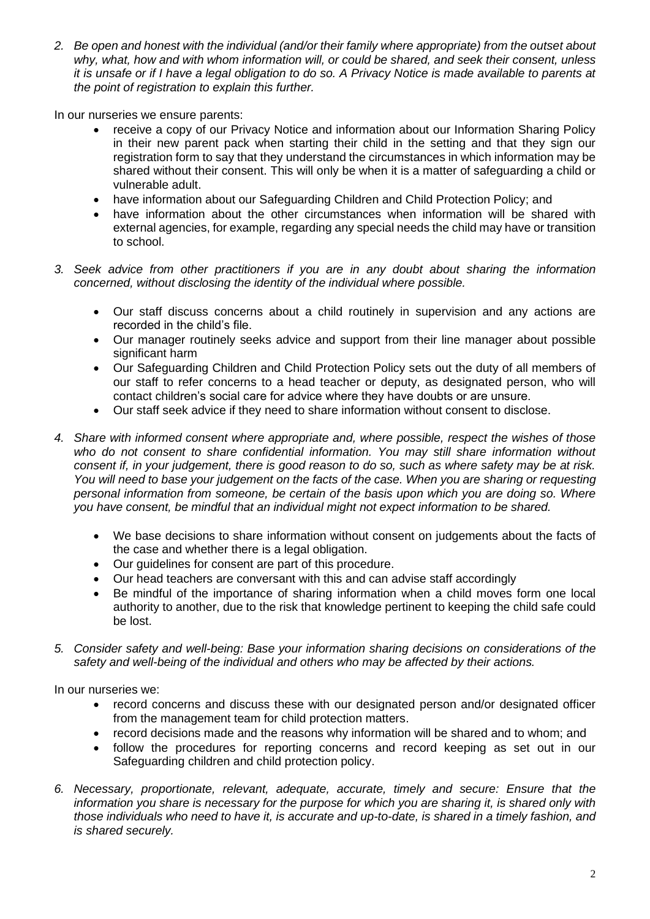*2. Be open and honest with the individual (and/or their family where appropriate) from the outset about why, what, how and with whom information will, or could be shared, and seek their consent, unless it is unsafe or if I have a legal obligation to do so. A Privacy Notice is made available to parents at the point of registration to explain this further.*

In our nurseries we ensure parents:

- receive a copy of our Privacy Notice and information about our Information Sharing Policy in their new parent pack when starting their child in the setting and that they sign our registration form to say that they understand the circumstances in which information may be shared without their consent. This will only be when it is a matter of safeguarding a child or vulnerable adult.
- have information about our Safeguarding Children and Child Protection Policy; and
- have information about the other circumstances when information will be shared with external agencies, for example, regarding any special needs the child may have or transition to school.
- *3. Seek advice from other practitioners if you are in any doubt about sharing the information concerned, without disclosing the identity of the individual where possible.*
	- Our staff discuss concerns about a child routinely in supervision and any actions are recorded in the child's file.
	- Our manager routinely seeks advice and support from their line manager about possible significant harm
	- Our Safeguarding Children and Child Protection Policy sets out the duty of all members of our staff to refer concerns to a head teacher or deputy, as designated person, who will contact children's social care for advice where they have doubts or are unsure.
	- Our staff seek advice if they need to share information without consent to disclose.
- *4. Share with informed consent where appropriate and, where possible, respect the wishes of those who do not consent to share confidential information. You may still share information without consent if, in your judgement, there is good reason to do so, such as where safety may be at risk. You will need to base your judgement on the facts of the case. When you are sharing or requesting personal information from someone, be certain of the basis upon which you are doing so. Where you have consent, be mindful that an individual might not expect information to be shared.* 
	- We base decisions to share information without consent on judgements about the facts of the case and whether there is a legal obligation.
	- Our guidelines for consent are part of this procedure.
	- Our head teachers are conversant with this and can advise staff accordingly
	- Be mindful of the importance of sharing information when a child moves form one local authority to another, due to the risk that knowledge pertinent to keeping the child safe could be lost.
- *5. Consider safety and well-being: Base your information sharing decisions on considerations of the safety and well-being of the individual and others who may be affected by their actions.*

In our nurseries we:

- record concerns and discuss these with our designated person and/or designated officer from the management team for child protection matters.
- record decisions made and the reasons why information will be shared and to whom; and
- follow the procedures for reporting concerns and record keeping as set out in our Safeguarding children and child protection policy.
- *6. Necessary, proportionate, relevant, adequate, accurate, timely and secure: Ensure that the information you share is necessary for the purpose for which you are sharing it, is shared only with those individuals who need to have it, is accurate and up-to-date, is shared in a timely fashion, and is shared securely.*